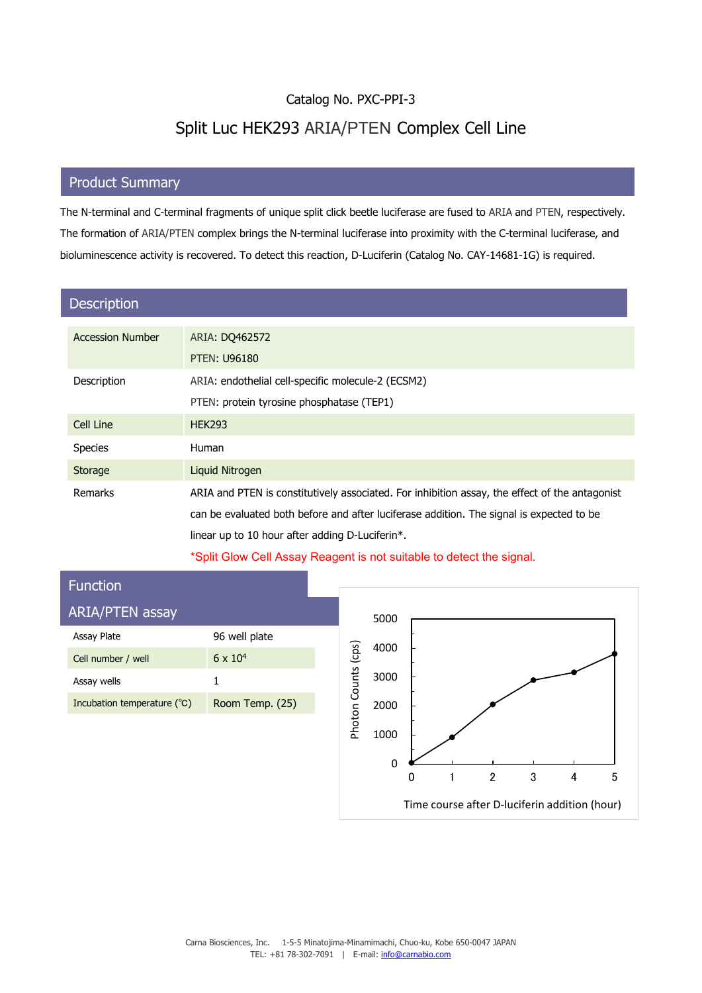## Catalog No. PXC-PPI-3 Split Luc HEK293 ARIA/PTEN Complex Cell Line

## **C** C<sub>RO</sub>UND OF STREET **Product Summary**

The N-terminal and C-terminal fragments of unique split click beetle luciferase are fused to ARIA and PTEN, respectively. The formation of ARIA/PTEN complex brings the N-terminal luciferase into proximity with the C-terminal luciferase, and bioluminescence activity is recovered. To detect this reaction, D-Luciferin (Catalog No. CAY-14681-1G) is required.

| <b>Description</b>      |                                                                                                |
|-------------------------|------------------------------------------------------------------------------------------------|
| <b>Accession Number</b> | ARIA: DO462572<br><b>PTEN: U96180</b>                                                          |
| Description             | ARIA: endothelial cell-specific molecule-2 (ECSM2)                                             |
|                         | PTEN: protein tyrosine phosphatase (TEP1)                                                      |
| Cell Line               | <b>HEK293</b>                                                                                  |
| <b>Species</b>          | Human                                                                                          |
| Storage                 | Liquid Nitrogen                                                                                |
| Remarks                 | ARIA and PTEN is constitutively associated. For inhibition assay, the effect of the antagonist |
|                         | can be evaluated both before and after luciferase addition. The signal is expected to be       |
|                         | linear up to 10 hour after adding D-Luciferin*.                                                |

\*Split Glow Cell Assay Reagent is not suitable to detect the signal.

## Function ARIA/PTEN assay 5000 Assay Plate 96 well plate Photon Counts (cps) 4000 Photon Counts (cps) Cell number / well  $6 \times 10^4$ 3000 Assay wells 1 Incubation temperature (℃) Room Temp. (25) 2000 1000